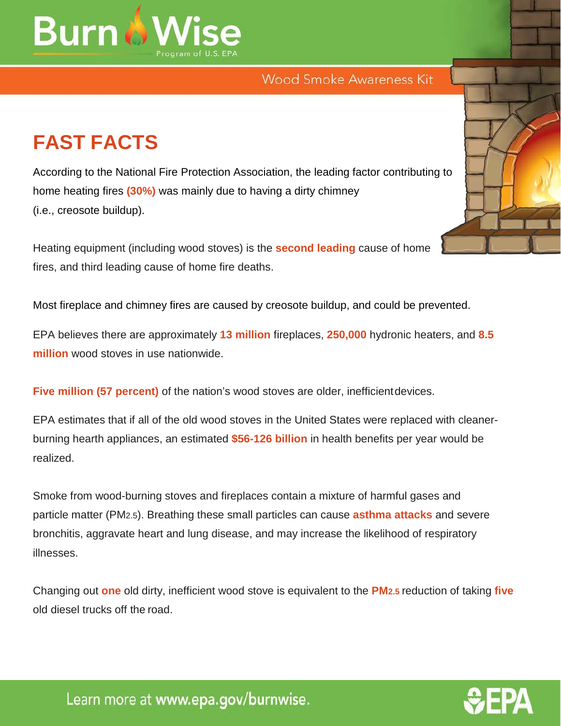

## Wood Smoke Awareness Kit

## **FAST FACTS**

According to the National Fire Protection Association, the leading factor contributing to home heating fires **(30%)** was mainly due to having a dirty chimney (i.e., creosote buildup).

Heating equipment (including wood stoves) is the **second leading** cause of home fires, and third leading cause of home fire deaths.

Most fireplace and chimney fires are caused by creosote buildup, and could be prevented.

EPA believes there are approximately **13 million** fireplaces, **250,000** hydronic heaters, and **8.5 million** wood stoves in use nationwide.

**Five million (57 percent)** of the nation's wood stoves are older, inefficientdevices.

EPA estimates that if all of the old wood stoves in the United States were replaced with cleanerburning hearth appliances, an estimated **\$56-126 billion** in health benefits per year would be realized.

Smoke from wood-burning stoves and fireplaces contain a mixture of harmful gases and particle matter (PM2.5). Breathing these small particles can cause **asthma attacks** and severe bronchitis, aggravate heart and lung disease, and may increase the likelihood of respiratory illnesses.

Changing out **one** old dirty, inefficient wood stove is equivalent to the **PM2.5** reduction of taking **five**  old diesel trucks off the road.





Learn more at www.epa.gov/burnwise.